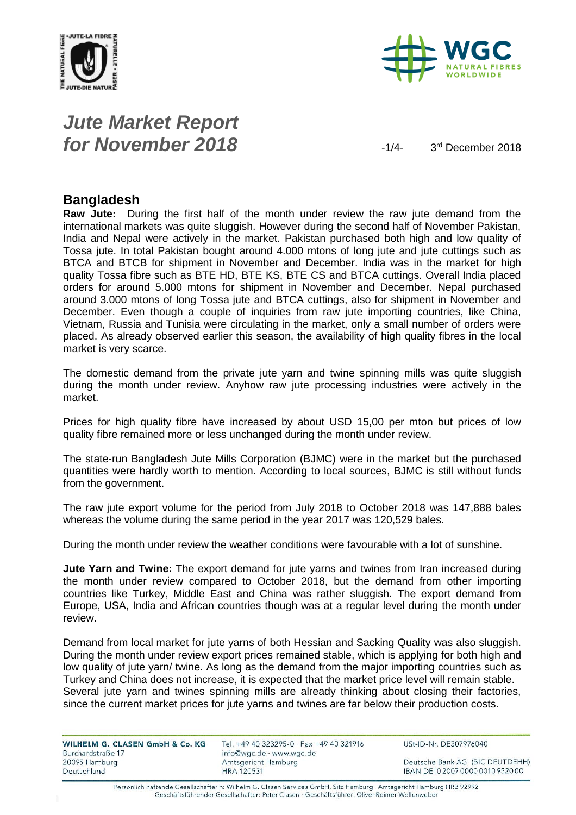



# *Jute Market Report for November 2018*  $\frac{1}{4}$

3rd December 2018

#### **Bangladesh**

**Raw Jute:** During the first half of the month under review the raw jute demand from the international markets was quite sluggish. However during the second half of November Pakistan, India and Nepal were actively in the market. Pakistan purchased both high and low quality of Tossa jute. In total Pakistan bought around 4.000 mtons of long jute and jute cuttings such as BTCA and BTCB for shipment in November and December. India was in the market for high quality Tossa fibre such as BTE HD, BTE KS, BTE CS and BTCA cuttings. Overall India placed orders for around 5.000 mtons for shipment in November and December. Nepal purchased around 3.000 mtons of long Tossa jute and BTCA cuttings, also for shipment in November and December. Even though a couple of inquiries from raw jute importing countries, like China, Vietnam, Russia and Tunisia were circulating in the market, only a small number of orders were placed. As already observed earlier this season, the availability of high quality fibres in the local market is very scarce.

The domestic demand from the private jute yarn and twine spinning mills was quite sluggish during the month under review. Anyhow raw jute processing industries were actively in the market.

Prices for high quality fibre have increased by about USD 15,00 per mton but prices of low quality fibre remained more or less unchanged during the month under review.

The state-run Bangladesh Jute Mills Corporation (BJMC) were in the market but the purchased quantities were hardly worth to mention. According to local sources, BJMC is still without funds from the government.

The raw jute export volume for the period from July 2018 to October 2018 was 147,888 bales whereas the volume during the same period in the year 2017 was 120,529 bales.

During the month under review the weather conditions were favourable with a lot of sunshine.

**Jute Yarn and Twine:** The export demand for jute yarns and twines from Iran increased during the month under review compared to October 2018, but the demand from other importing countries like Turkey, Middle East and China was rather sluggish. The export demand from Europe, USA, India and African countries though was at a regular level during the month under review.

Demand from local market for jute yarns of both Hessian and Sacking Quality was also sluggish. During the month under review export prices remained stable, which is applying for both high and low quality of jute yarn/ twine. As long as the demand from the major importing countries such as Turkey and China does not increase, it is expected that the market price level will remain stable. Several jute yarn and twines spinning mills are already thinking about closing their factories, since the current market prices for jute yarns and twines are far below their production costs.

| WILHELM G. CLASEN GmbH & Co. KG    | Tel. +49 40 323295-0 $\cdot$ Fax +49 40 321916  | USt-ID-Nr. DE307976040           |
|------------------------------------|-------------------------------------------------|----------------------------------|
| Burchardstraße 17<br>20095 Hamburg | info@wgc.de · www.wgc.de<br>Amtsgericht Hamburg | Deutsche Bank AG (BIC DEUTDEHH)  |
| Deutschland                        | HRA 120531                                      | IBAN DE10 2007 0000 0010 9520 00 |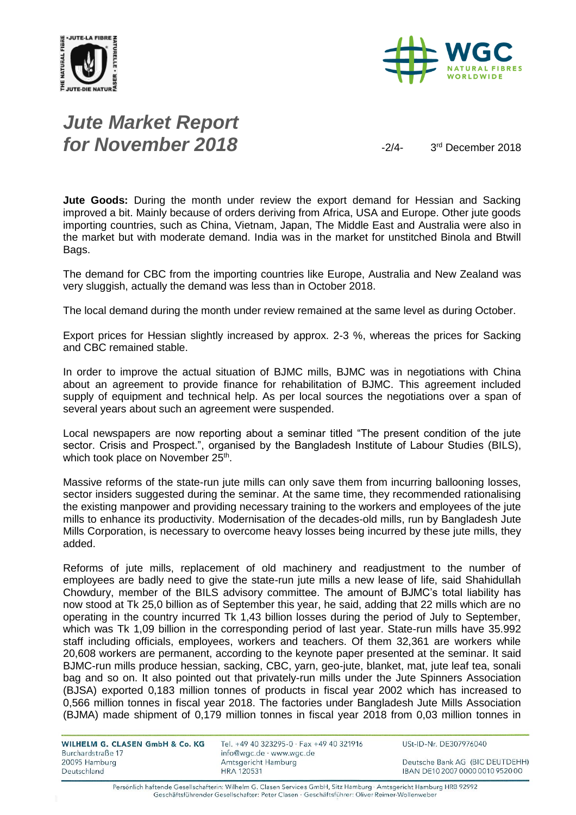



# *Jute Market Report for November 2018*  $\frac{1}{2}$

3rd December 2018

**Jute Goods:** During the month under review the export demand for Hessian and Sacking improved a bit. Mainly because of orders deriving from Africa, USA and Europe. Other jute goods importing countries, such as China, Vietnam, Japan, The Middle East and Australia were also in the market but with moderate demand. India was in the market for unstitched Binola and Btwill Bags.

The demand for CBC from the importing countries like Europe, Australia and New Zealand was very sluggish, actually the demand was less than in October 2018.

The local demand during the month under review remained at the same level as during October.

Export prices for Hessian slightly increased by approx. 2-3 %, whereas the prices for Sacking and CBC remained stable.

In order to improve the actual situation of BJMC mills, BJMC was in negotiations with China about an agreement to provide finance for rehabilitation of BJMC. This agreement included supply of equipment and technical help. As per local sources the negotiations over a span of several years about such an agreement were suspended.

Local newspapers are now reporting about a seminar titled "The present condition of the jute sector. Crisis and Prospect.", organised by the Bangladesh Institute of Labour Studies (BILS), which took place on November 25<sup>th</sup>.

Massive reforms of the state-run jute mills can only save them from incurring ballooning losses, sector insiders suggested during the seminar. At the same time, they recommended rationalising the existing manpower and providing necessary training to the workers and employees of the jute mills to enhance its productivity. Modernisation of the decades-old mills, run by Bangladesh Jute Mills Corporation, is necessary to overcome heavy losses being incurred by these jute mills, they added.

Reforms of jute mills, replacement of old machinery and readjustment to the number of employees are badly need to give the state-run jute mills a new lease of life, said Shahidullah Chowdury, member of the BILS advisory committee. The amount of BJMC's total liability has now stood at Tk 25,0 billion as of September this year, he said, adding that 22 mills which are no operating in the country incurred Tk 1,43 billion losses during the period of July to September, which was Tk 1,09 billion in the corresponding period of last year. State-run mills have 35.992 staff including officials, employees, workers and teachers. Of them 32,361 are workers while 20,608 workers are permanent, according to the keynote paper presented at the seminar. It said BJMC-run mills produce hessian, sacking, CBC, yarn, geo-jute, blanket, mat, jute leaf tea, sonali bag and so on. It also pointed out that privately-run mills under the Jute Spinners Association (BJSA) exported 0,183 million tonnes of products in fiscal year 2002 which has increased to 0,566 million tonnes in fiscal year 2018. The factories under Bangladesh Jute Mills Association (BJMA) made shipment of 0,179 million tonnes in fiscal year 2018 from 0,03 million tonnes in

| WILHELM G. CLASEN GmbH & Co. KG | Tel. +49 40 323295-0 · Fax +49 40 321916 | USt-ID-Nr. DE307976040           |
|---------------------------------|------------------------------------------|----------------------------------|
| Burchardstraße 17               | info@wgc.de · www.wgc.de                 |                                  |
| 20095 Hamburg                   | Amtsgericht Hamburg                      | Deutsche Bank AG (BIC DEUTDEHH)  |
| Deutschland                     | <b>HRA 120531</b>                        | IBAN DE10 2007 0000 0010 9520 00 |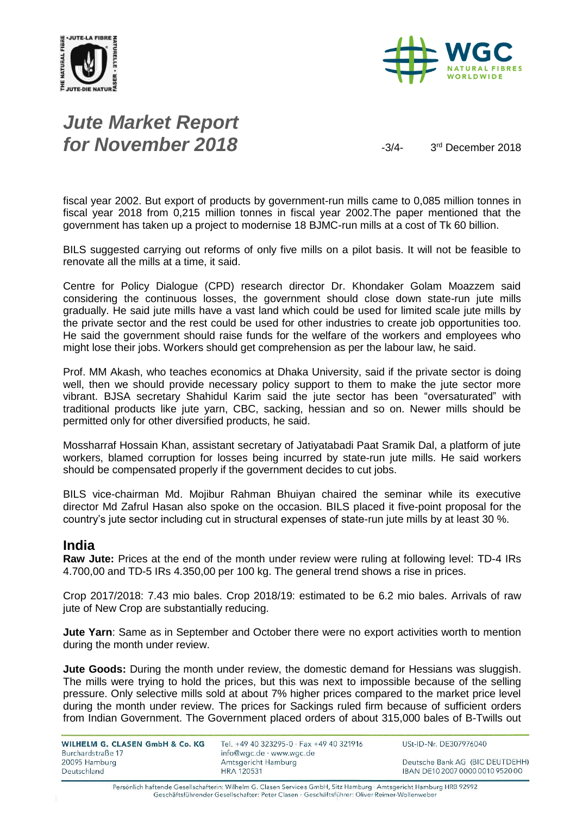



# *Jute Market Report for November 2018*  $\frac{3}{4}$

3rd December 2018

fiscal year 2002. But export of products by government-run mills came to 0,085 million tonnes in fiscal year 2018 from 0,215 million tonnes in fiscal year 2002.The paper mentioned that the government has taken up a project to modernise 18 BJMC-run mills at a cost of Tk 60 billion.

BILS suggested carrying out reforms of only five mills on a pilot basis. It will not be feasible to renovate all the mills at a time, it said.

Centre for Policy Dialogue (CPD) research director Dr. Khondaker Golam Moazzem said considering the continuous losses, the government should close down state-run jute mills gradually. He said jute mills have a vast land which could be used for limited scale jute mills by the private sector and the rest could be used for other industries to create job opportunities too. He said the government should raise funds for the welfare of the workers and employees who might lose their jobs. Workers should get comprehension as per the labour law, he said.

Prof. MM Akash, who teaches economics at Dhaka University, said if the private sector is doing well, then we should provide necessary policy support to them to make the jute sector more vibrant. BJSA secretary Shahidul Karim said the jute sector has been "oversaturated" with traditional products like jute yarn, CBC, sacking, hessian and so on. Newer mills should be permitted only for other diversified products, he said.

Mossharraf Hossain Khan, assistant secretary of Jatiyatabadi Paat Sramik Dal, a platform of jute workers, blamed corruption for losses being incurred by state-run jute mills. He said workers should be compensated properly if the government decides to cut jobs.

BILS vice-chairman Md. Mojibur Rahman Bhuiyan chaired the seminar while its executive director Md Zafrul Hasan also spoke on the occasion. BILS placed it five-point proposal for the country's jute sector including cut in structural expenses of state-run jute mills by at least 30 %.

#### **India**

**Raw Jute:** Prices at the end of the month under review were ruling at following level: TD-4 IRs 4.700,00 and TD-5 IRs 4.350,00 per 100 kg. The general trend shows a rise in prices.

Crop 2017/2018: 7.43 mio bales. Crop 2018/19: estimated to be 6.2 mio bales. Arrivals of raw jute of New Crop are substantially reducing.

**Jute Yarn**: Same as in September and October there were no export activities worth to mention during the month under review.

**Jute Goods:** During the month under review, the domestic demand for Hessians was sluggish. The mills were trying to hold the prices, but this was next to impossible because of the selling pressure. Only selective mills sold at about 7% higher prices compared to the market price level during the month under review. The prices for Sackings ruled firm because of sufficient orders from Indian Government. The Government placed orders of about 315,000 bales of B-Twills out

| WILHELM G. CLASEN GmbH & Co. KG | Tel. +49 40 323295-0 · Fax +49 40 321916 | USt-ID-Nr. DE307976040           |
|---------------------------------|------------------------------------------|----------------------------------|
| Burchardstraße 17               | info@wgc.de · www.wgc.de                 |                                  |
| 20095 Hamburg                   | Amtsgericht Hamburg                      | Deutsche Bank AG (BIC DEUTDEHH)  |
| Deutschland                     | <b>HRA 120531</b>                        | IBAN DE10 2007 0000 0010 9520 00 |